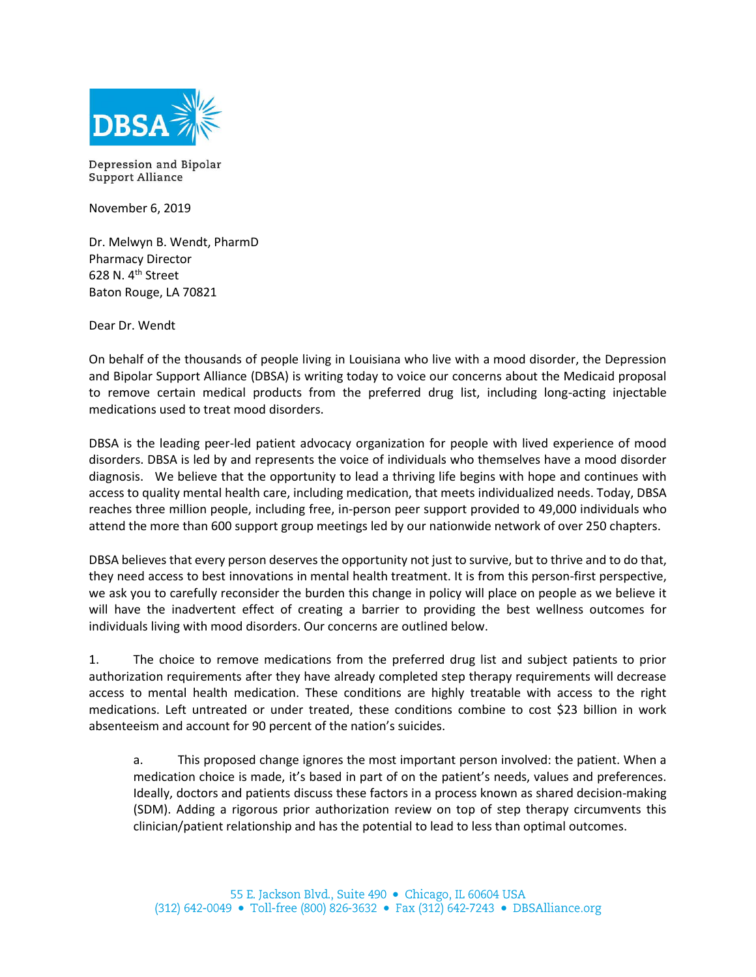

Depression and Bipolar **Support Alliance** 

November 6, 2019

Dr. Melwyn B. Wendt, PharmD Pharmacy Director 628 N. 4th Street Baton Rouge, LA 70821

Dear Dr. Wendt

On behalf of the thousands of people living in Louisiana who live with a mood disorder, the Depression and Bipolar Support Alliance (DBSA) is writing today to voice our concerns about the Medicaid proposal to remove certain medical products from the preferred drug list, including long-acting injectable medications used to treat mood disorders.

DBSA is the leading peer-led patient advocacy organization for people with lived experience of mood disorders. DBSA is led by and represents the voice of individuals who themselves have a mood disorder diagnosis. We believe that the opportunity to lead a thriving life begins with hope and continues with access to quality mental health care, including medication, that meets individualized needs. Today, DBSA reaches three million people, including free, in-person peer support provided to 49,000 individuals who attend the more than 600 support group meetings led by our nationwide network of over 250 chapters.

DBSA believes that every person deserves the opportunity not just to survive, but to thrive and to do that, they need access to best innovations in mental health treatment. It is from this person-first perspective, we ask you to carefully reconsider the burden this change in policy will place on people as we believe it will have the inadvertent effect of creating a barrier to providing the best wellness outcomes for individuals living with mood disorders. Our concerns are outlined below.

1. The choice to remove medications from the preferred drug list and subject patients to prior authorization requirements after they have already completed step therapy requirements will decrease access to mental health medication. These conditions are highly treatable with access to the right medications. Left untreated or under treated, these conditions combine to cost \$23 billion in work absenteeism and account for 90 percent of the nation's suicides.

a. This proposed change ignores the most important person involved: the patient. When a medication choice is made, it's based in part of on the patient's needs, values and preferences. Ideally, doctors and patients discuss these factors in a process known as shared decision-making (SDM). Adding a rigorous prior authorization review on top of step therapy circumvents this clinician/patient relationship and has the potential to lead to less than optimal outcomes.